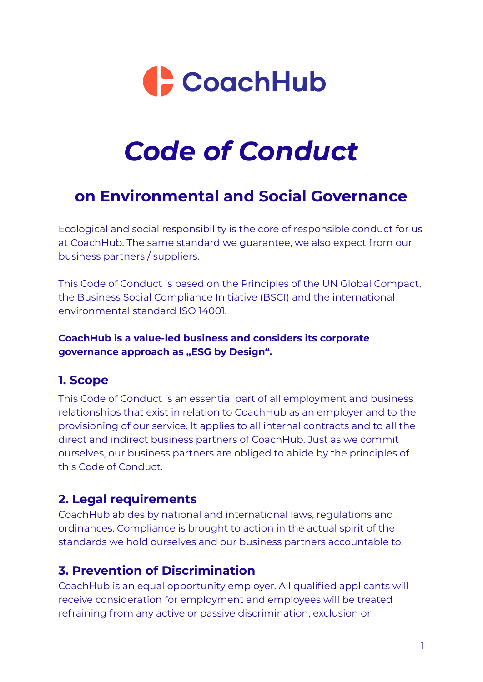

# *Code of Conduct*

# **on Environmental and Social Governance**

Ecological and social responsibility is the core of responsible conduct for us at CoachHub. The same standard we guarantee, we also expect from our business partners / suppliers.

This Code of Conduct is based on the Principles of the UN Global Compact, the Business Social Compliance Initiative (BSCI) and the international environmental standard ISO 14001.

#### **CoachHub is a value-led business and considers its corporate governance approach as "ESG by Design".**

#### **1. Scope**

This Code of Conduct is an essential part of all employment and business relationships that exist in relation to CoachHub as an employer and to the provisioning of our service. It applies to all internal contracts and to all the direct and indirect business partners of CoachHub. Just as we commit ourselves, our business partners are obliged to abide by the principles of this Code of Conduct.

# **2. Legal requirements**

CoachHub abides by national and international laws, regulations and ordinances. Compliance is brought to action in the actual spirit of the standards we hold ourselves and our business partners accountable to.

# **3. Prevention of Discrimination**

CoachHub is an equal opportunity employer. All qualified applicants will receive consideration for employment and employees will be treated refraining from any active or passive discrimination, exclusion or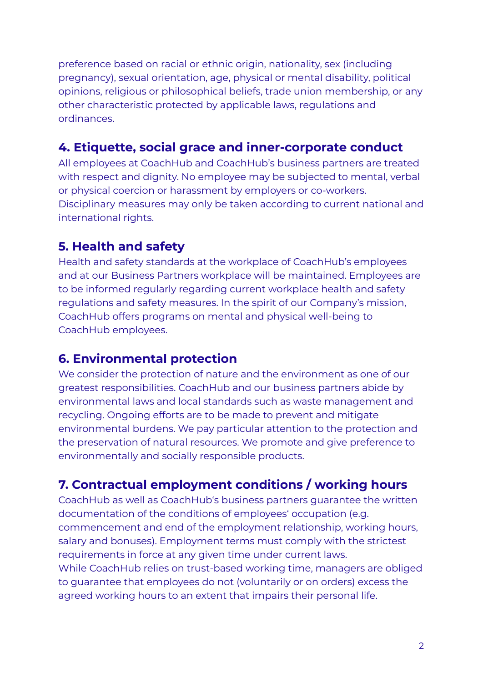preference based on racial or ethnic origin, nationality, sex (including pregnancy), sexual orientation, age, physical or mental disability, political opinions, religious or philosophical beliefs, trade union membership, or any other characteristic protected by applicable laws, regulations and ordinances.

# **4. Etiquette, social grace and inner-corporate conduct**

All employees at CoachHub and CoachHub's business partners are treated with respect and dignity. No employee may be subjected to mental, verbal or physical coercion or harassment by employers or co-workers. Disciplinary measures may only be taken according to current national and international rights.

# **5. Health and safety**

Health and safety standards at the workplace of CoachHub's employees and at our Business Partners workplace will be maintained. Employees are to be informed regularly regarding current workplace health and safety regulations and safety measures. In the spirit of our Company's mission, CoachHub offers programs on mental and physical well-being to CoachHub employees.

# **6. Environmental protection**

We consider the protection of nature and the environment as one of our greatest responsibilities. CoachHub and our business partners abide by environmental laws and local standards such as waste management and recycling. Ongoing efforts are to be made to prevent and mitigate environmental burdens. We pay particular attention to the protection and the preservation of natural resources. We promote and give preference to environmentally and socially responsible products.

# **7. Contractual employment conditions / working hours**

CoachHub as well as CoachHub's business partners guarantee the written documentation of the conditions of employees' occupation (e.g. commencement and end of the employment relationship, working hours, salary and bonuses). Employment terms must comply with the strictest requirements in force at any given time under current laws. While CoachHub relies on trust-based working time, managers are obliged to guarantee that employees do not (voluntarily or on orders) excess the agreed working hours to an extent that impairs their personal life.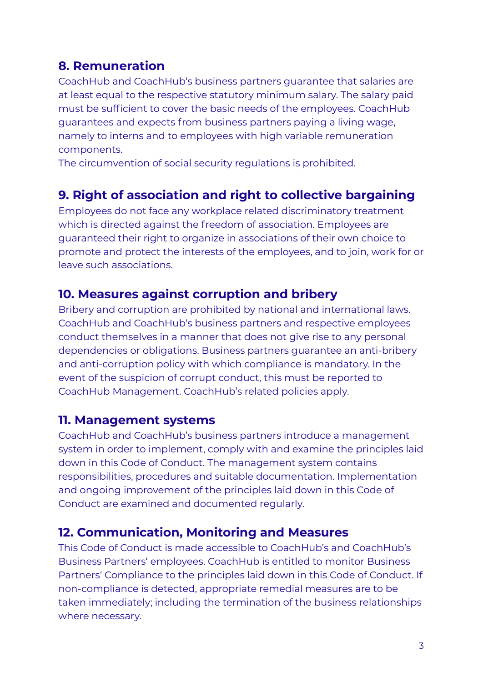#### **8. Remuneration**

CoachHub and CoachHub's business partners guarantee that salaries are at least equal to the respective statutory minimum salary. The salary paid must be sufficient to cover the basic needs of the employees. CoachHub guarantees and expects from business partners paying a living wage, namely to interns and to employees with high variable remuneration components.

The circumvention of social security regulations is prohibited.

#### **9. Right of association and right to collective bargaining**

Employees do not face any workplace related discriminatory treatment which is directed against the freedom of association. Employees are guaranteed their right to organize in associations of their own choice to promote and protect the interests of the employees, and to join, work for or leave such associations.

#### **10. Measures against corruption and bribery**

Bribery and corruption are prohibited by national and international laws. CoachHub and CoachHub's business partners and respective employees conduct themselves in a manner that does not give rise to any personal dependencies or obligations. Business partners guarantee an anti-bribery and anti-corruption policy with which compliance is mandatory. In the event of the suspicion of corrupt conduct, this must be reported to CoachHub Management. CoachHub's related policies apply.

#### **11. Management systems**

CoachHub and CoachHub's business partners introduce a management system in order to implement, comply with and examine the principles laid down in this Code of Conduct. The management system contains responsibilities, procedures and suitable documentation. Implementation and ongoing improvement of the principles laid down in this Code of Conduct are examined and documented regularly.

#### **12. Communication, Monitoring and Measures**

This Code of Conduct is made accessible to CoachHub's and CoachHub's Business Partners' employees. CoachHub is entitled to monitor Business Partners' Compliance to the principles laid down in this Code of Conduct. If non-compliance is detected, appropriate remedial measures are to be taken immediately; including the termination of the business relationships where necessary.